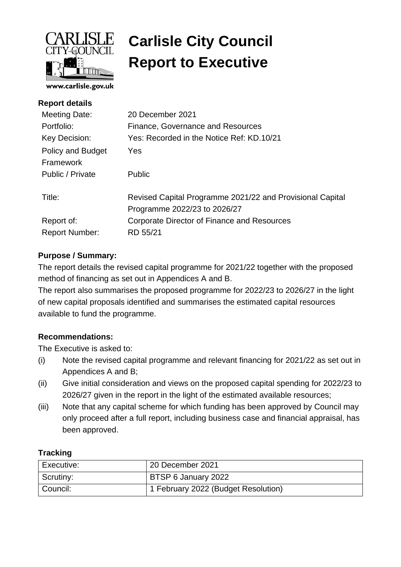

# **Carlisle City Council Report to Executive**

| <b>Report details</b>                 |                                                           |
|---------------------------------------|-----------------------------------------------------------|
| Meeting Date:                         | 20 December 2021                                          |
| Portfolio:                            | Finance, Governance and Resources                         |
| Key Decision:                         | Yes: Recorded in the Notice Ref: KD.10/21                 |
| <b>Policy and Budget</b><br>Framework | <b>Yes</b>                                                |
| Public / Private                      | <b>Public</b>                                             |
| Title:                                | Revised Capital Programme 2021/22 and Provisional Capital |
|                                       | Programme 2022/23 to 2026/27                              |
| Report of:                            | Corporate Director of Finance and Resources               |
| <b>Report Number:</b>                 | RD 55/21                                                  |
|                                       |                                                           |

# **Purpose / Summary:**

The report details the revised capital programme for 2021/22 together with the proposed method of financing as set out in Appendices A and B.

The report also summarises the proposed programme for 2022/23 to 2026/27 in the light of new capital proposals identified and summarises the estimated capital resources available to fund the programme.

# **Recommendations:**

The Executive is asked to:

- (i) Note the revised capital programme and relevant financing for 2021/22 as set out in Appendices A and B;
- (ii) Give initial consideration and views on the proposed capital spending for 2022/23 to 2026/27 given in the report in the light of the estimated available resources;
- (iii) Note that any capital scheme for which funding has been approved by Council may only proceed after a full report, including business case and financial appraisal, has been approved.

#### **Tracking**

| Executive: | 20 December 2021                    |
|------------|-------------------------------------|
| Scrutiny:  | BTSP 6 January 2022                 |
| Council:   | 1 February 2022 (Budget Resolution) |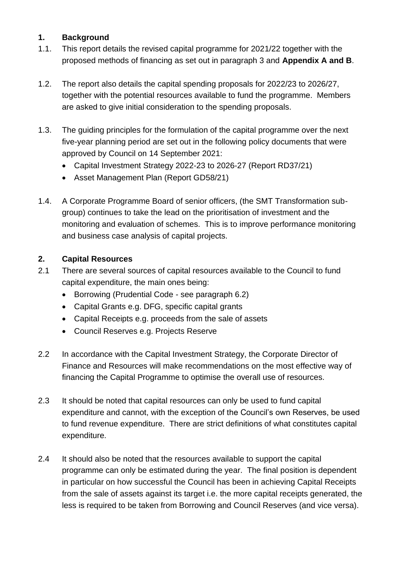#### **1. Background**

- 1.1. This report details the revised capital programme for 2021/22 together with the proposed methods of financing as set out in paragraph 3 and **Appendix A and B**.
- 1.2. The report also details the capital spending proposals for 2022/23 to 2026/27, together with the potential resources available to fund the programme. Members are asked to give initial consideration to the spending proposals.
- 1.3. The guiding principles for the formulation of the capital programme over the next five-year planning period are set out in the following policy documents that were approved by Council on 14 September 2021:
	- Capital Investment Strategy 2022-23 to 2026-27 (Report RD37/21)
	- Asset Management Plan (Report GD58/21)
- 1.4. A Corporate Programme Board of senior officers, (the SMT Transformation subgroup) continues to take the lead on the prioritisation of investment and the monitoring and evaluation of schemes. This is to improve performance monitoring and business case analysis of capital projects.

# **2. Capital Resources**

- 2.1 There are several sources of capital resources available to the Council to fund capital expenditure, the main ones being:
	- Borrowing (Prudential Code see paragraph 6.2)
	- Capital Grants e.g. DFG, specific capital grants
	- Capital Receipts e.g. proceeds from the sale of assets
	- Council Reserves e.g. Projects Reserve
- 2.2 In accordance with the Capital Investment Strategy, the Corporate Director of Finance and Resources will make recommendations on the most effective way of financing the Capital Programme to optimise the overall use of resources.
- 2.3 It should be noted that capital resources can only be used to fund capital expenditure and cannot, with the exception of the Council's own Reserves, be used to fund revenue expenditure. There are strict definitions of what constitutes capital expenditure.
- 2.4 It should also be noted that the resources available to support the capital programme can only be estimated during the year. The final position is dependent in particular on how successful the Council has been in achieving Capital Receipts from the sale of assets against its target i.e. the more capital receipts generated, the less is required to be taken from Borrowing and Council Reserves (and vice versa).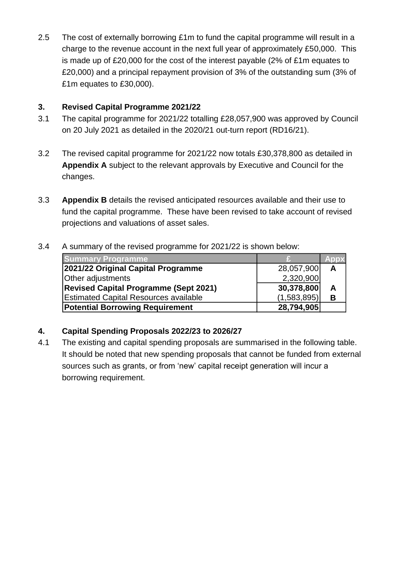2.5 The cost of externally borrowing £1m to fund the capital programme will result in a charge to the revenue account in the next full year of approximately £50,000. This is made up of £20,000 for the cost of the interest payable (2% of £1m equates to £20,000) and a principal repayment provision of 3% of the outstanding sum (3% of £1m equates to £30,000).

#### **3. Revised Capital Programme 2021/22**

- 3.1 The capital programme for 2021/22 totalling £28,057,900 was approved by Council on 20 July 2021 as detailed in the 2020/21 out-turn report (RD16/21).
- 3.2 The revised capital programme for 2021/22 now totals £30,378,800 as detailed in **Appendix A** subject to the relevant approvals by Executive and Council for the changes.
- 3.3 **Appendix B** details the revised anticipated resources available and their use to fund the capital programme. These have been revised to take account of revised projections and valuations of asset sales.

# 3.4 A summary of the revised programme for 2021/22 is shown below:

| <b>Summary Programme</b>                     |             |   |
|----------------------------------------------|-------------|---|
| 2021/22 Original Capital Programme           | 28,057,900  | А |
| Other adjustments                            | 2,320,900   |   |
| <b>Revised Capital Programme (Sept 2021)</b> | 30,378,800  | А |
| <b>Estimated Capital Resources available</b> | (1,583,895) |   |
| <b>Potential Borrowing Requirement</b>       | 28,794,905  |   |

# **4. Capital Spending Proposals 2022/23 to 2026/27**

4.1 The existing and capital spending proposals are summarised in the following table. It should be noted that new spending proposals that cannot be funded from external sources such as grants, or from 'new' capital receipt generation will incur a borrowing requirement.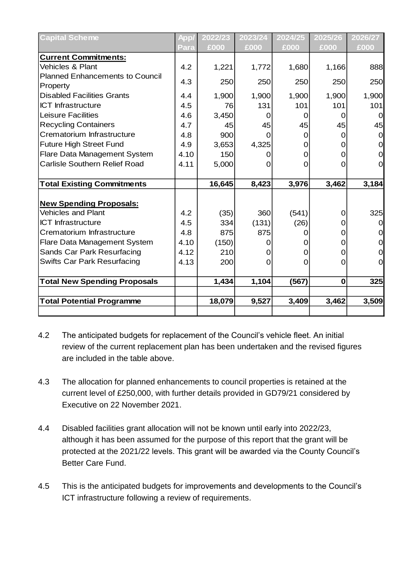| <b>Capital Scheme</b>                  | App  | 2022/23 | 2023/24 | 2024/25  | 2025/26     | 2026/27  |
|----------------------------------------|------|---------|---------|----------|-------------|----------|
|                                        | Para | £000    | £000    | £000     | £000        | £000     |
| <b>Current Commitments:</b>            |      |         |         |          |             |          |
| <b>Vehicles &amp; Plant</b>            | 4.2  | 1,221   | 1,772   | 1,680    | 1,166       | 888      |
| <b>Planned Enhancements to Council</b> | 4.3  | 250     | 250     | 250      | 250         | 250      |
| Property                               |      |         |         |          |             |          |
| <b>Disabled Facilities Grants</b>      | 4.4  | 1,900   | 1,900   | 1,900    | 1,900       | 1,900    |
| <b>ICT Infrastructure</b>              | 4.5  | 76      | 131     | 101      | 101         | 101      |
| <b>Leisure Facilities</b>              | 4.6  | 3,450   | O       | 0        | Ω           |          |
| <b>Recycling Containers</b>            | 4.7  | 45      | 45      | 45       | 45          | 45       |
| Crematorium Infrastructure             | 4.8  | 900     |         | 0        |             |          |
| <b>Future High Street Fund</b>         | 4.9  | 3,653   | 4,325   | 0        |             |          |
| Flare Data Management System           | 4.10 | 150     |         | 0        |             |          |
| <b>Carlisle Southern Relief Road</b>   | 4.11 | 5,000   | Ω       | $\Omega$ | Ω           | 0        |
|                                        |      |         |         |          |             |          |
| <b>Total Existing Commitments</b>      |      | 16,645  | 8,423   | 3,976    | 3,462       | 3,184    |
|                                        |      |         |         |          |             |          |
| <b>New Spending Proposals:</b>         |      |         |         |          |             |          |
| <b>Vehicles and Plant</b>              | 4.2  | (35)    | 360     | (541)    | 0           | 325      |
| <b>ICT Infrastructure</b>              | 4.5  | 334     | (131)   | (26)     |             | $\Omega$ |
| Crematorium Infrastructure             | 4.8  | 875     | 875     |          | O           |          |
| Flare Data Management System           | 4.10 | (150)   |         |          | O           |          |
| Sands Car Park Resurfacing             | 4.12 | 210     |         |          |             |          |
| <b>Swifts Car Park Resurfacing</b>     | 4.13 | 200     | 0       | 0        | 0           | O        |
|                                        |      |         |         |          |             |          |
| <b>Total New Spending Proposals</b>    |      | 1,434   | 1,104   | (567)    | $\mathbf 0$ | 325      |
|                                        |      |         |         |          |             |          |
| <b>Total Potential Programme</b>       |      | 18,079  | 9,527   | 3,409    | 3,462       | 3,509    |
|                                        |      |         |         |          |             |          |

- 4.2 The anticipated budgets for replacement of the Council's vehicle fleet. An initial review of the current replacement plan has been undertaken and the revised figures are included in the table above.
- 4.3 The allocation for planned enhancements to council properties is retained at the current level of £250,000, with further details provided in GD79/21 considered by Executive on 22 November 2021.
- 4.4 Disabled facilities grant allocation will not be known until early into 2022/23, although it has been assumed for the purpose of this report that the grant will be protected at the 2021/22 levels. This grant will be awarded via the County Council's Better Care Fund.
- 4.5 This is the anticipated budgets for improvements and developments to the Council's ICT infrastructure following a review of requirements.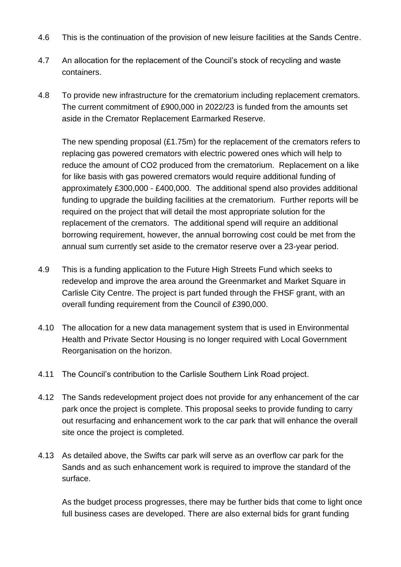- 4.6 This is the continuation of the provision of new leisure facilities at the Sands Centre.
- 4.7 An allocation for the replacement of the Council's stock of recycling and waste containers.
- 4.8 To provide new infrastructure for the crematorium including replacement cremators. The current commitment of £900,000 in 2022/23 is funded from the amounts set aside in the Cremator Replacement Earmarked Reserve.

The new spending proposal (£1.75m) for the replacement of the cremators refers to replacing gas powered cremators with electric powered ones which will help to reduce the amount of CO2 produced from the crematorium. Replacement on a like for like basis with gas powered cremators would require additional funding of approximately £300,000 - £400,000. The additional spend also provides additional funding to upgrade the building facilities at the crematorium. Further reports will be required on the project that will detail the most appropriate solution for the replacement of the cremators. The additional spend will require an additional borrowing requirement, however, the annual borrowing cost could be met from the annual sum currently set aside to the cremator reserve over a 23-year period.

- 4.9 This is a funding application to the Future High Streets Fund which seeks to redevelop and improve the area around the Greenmarket and Market Square in Carlisle City Centre. The project is part funded through the FHSF grant, with an overall funding requirement from the Council of £390,000.
- 4.10 The allocation for a new data management system that is used in Environmental Health and Private Sector Housing is no longer required with Local Government Reorganisation on the horizon.
- 4.11 The Council's contribution to the Carlisle Southern Link Road project.
- 4.12 The Sands redevelopment project does not provide for any enhancement of the car park once the project is complete. This proposal seeks to provide funding to carry out resurfacing and enhancement work to the car park that will enhance the overall site once the project is completed.
- 4.13 As detailed above, the Swifts car park will serve as an overflow car park for the Sands and as such enhancement work is required to improve the standard of the surface.

As the budget process progresses, there may be further bids that come to light once full business cases are developed. There are also external bids for grant funding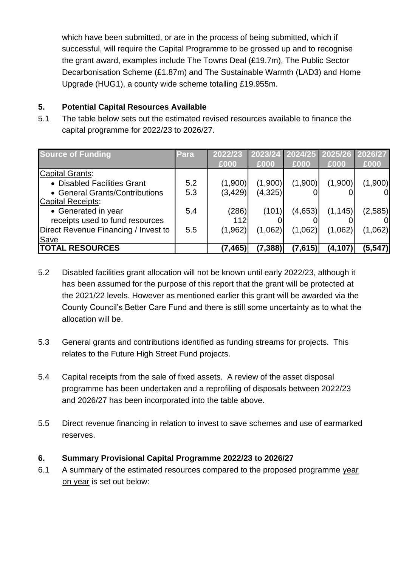which have been submitted, or are in the process of being submitted, which if successful, will require the Capital Programme to be grossed up and to recognise the grant award, examples include The Towns Deal (£19.7m), The Public Sector Decarbonisation Scheme (£1.87m) and The Sustainable Warmth (LAD3) and Home Upgrade (HUG1), a county wide scheme totalling £19.955m.

#### **5. Potential Capital Resources Available**

5.1 The table below sets out the estimated revised resources available to finance the capital programme for 2022/23 to 2026/27.

| <b>Source of Funding</b>             | Para | 2022/23  | 2023/24  | 2024/25 | 2025/26 2026/27 |          |
|--------------------------------------|------|----------|----------|---------|-----------------|----------|
|                                      |      | £000     | £000     | £000    | £000            | £000     |
| Capital Grants:                      |      |          |          |         |                 |          |
| • Disabled Facilities Grant          | 5.2  | (1,900)  | (1,900)  | (1,900) | (1,900)         | (1,900)  |
| • General Grants/Contributions       | 5.3  | (3, 429) | (4,325)  |         |                 | 0        |
| Capital Receipts:                    |      |          |          |         |                 |          |
| • Generated in year                  | 5.4  | (286)    | (101)    | (4,653) | (1, 145)        | (2,585)  |
| receipts used to fund resources      |      | 112      |          |         |                 |          |
| Direct Revenue Financing / Invest to | 5.5  | (1, 962) | (1,062)  | (1,062) | (1,062)         | (1,062)  |
| Save                                 |      |          |          |         |                 |          |
| <b>TOTAL RESOURCES</b>               |      | (7,465   | (7, 388) | (7,615) | (4, 107)        | (5, 547) |

- 5.2 Disabled facilities grant allocation will not be known until early 2022/23, although it has been assumed for the purpose of this report that the grant will be protected at the 2021/22 levels. However as mentioned earlier this grant will be awarded via the County Council's Better Care Fund and there is still some uncertainty as to what the allocation will be.
- 5.3 General grants and contributions identified as funding streams for projects. This relates to the Future High Street Fund projects.
- 5.4 Capital receipts from the sale of fixed assets. A review of the asset disposal programme has been undertaken and a reprofiling of disposals between 2022/23 and 2026/27 has been incorporated into the table above.
- 5.5 Direct revenue financing in relation to invest to save schemes and use of earmarked reserves.

# **6. Summary Provisional Capital Programme 2022/23 to 2026/27**

6.1 A summary of the estimated resources compared to the proposed programme year on year is set out below: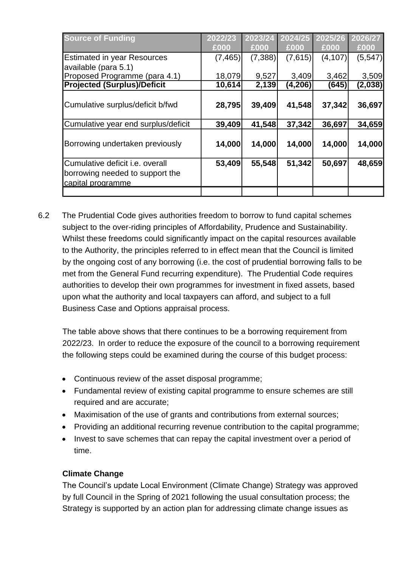| <b>Source of Funding</b>                                                                       | 2022/23  | 2023/24  | 2024/25  | 2025/26  | 2026/27  |
|------------------------------------------------------------------------------------------------|----------|----------|----------|----------|----------|
|                                                                                                | £000     | £000     | £000     | £000     | £000     |
| <b>Estimated in year Resources</b>                                                             | (7, 465) | (7, 388) | (7,615)  | (4, 107) | (5, 547) |
| available (para 5.1)                                                                           |          |          |          |          |          |
| Proposed Programme (para 4.1)                                                                  | 18,079   | 9,527    | 3,409    | 3,462    | 3,509    |
| <b>Projected (Surplus)/Deficit</b>                                                             | 10,614   | 2,139    | (4, 206) | (645)    | (2,038)  |
| Cumulative surplus/deficit b/fwd                                                               | 28,795   | 39,409   | 41,548   | 37,342   | 36,697   |
|                                                                                                |          |          |          |          |          |
| Cumulative year end surplus/deficit                                                            | 39,409   | 41,548   | 37,342   | 36,697   | 34,659   |
| Borrowing undertaken previously                                                                | 14,000   | 14,000   | 14,000   | 14,000   | 14,000   |
| Cumulative deficit <i>i.e.</i> overall<br>borrowing needed to support the<br>capital programme | 53,409   | 55,548   | 51,342   | 50,697   | 48,659   |
|                                                                                                |          |          |          |          |          |

6.2 The Prudential Code gives authorities freedom to borrow to fund capital schemes subject to the over-riding principles of Affordability, Prudence and Sustainability. Whilst these freedoms could significantly impact on the capital resources available to the Authority, the principles referred to in effect mean that the Council is limited by the ongoing cost of any borrowing (i.e. the cost of prudential borrowing falls to be met from the General Fund recurring expenditure). The Prudential Code requires authorities to develop their own programmes for investment in fixed assets, based upon what the authority and local taxpayers can afford, and subject to a full Business Case and Options appraisal process.

The table above shows that there continues to be a borrowing requirement from 2022/23. In order to reduce the exposure of the council to a borrowing requirement the following steps could be examined during the course of this budget process:

- Continuous review of the asset disposal programme;
- Fundamental review of existing capital programme to ensure schemes are still required and are accurate;
- Maximisation of the use of grants and contributions from external sources;
- Providing an additional recurring revenue contribution to the capital programme;
- Invest to save schemes that can repay the capital investment over a period of time.

# **Climate Change**

The Council's update Local Environment (Climate Change) Strategy was approved by full Council in the Spring of 2021 following the usual consultation process; the Strategy is supported by an action plan for addressing climate change issues as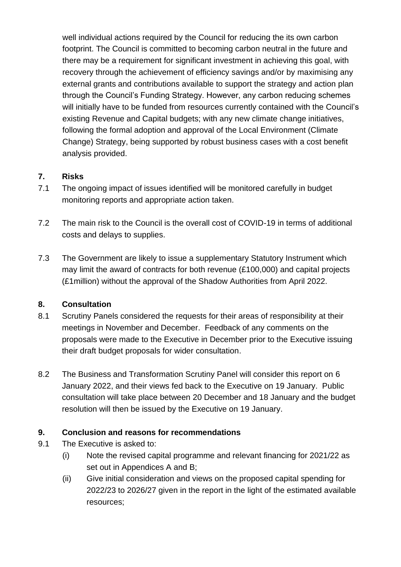well individual actions required by the Council for reducing the its own carbon footprint. The Council is committed to becoming carbon neutral in the future and there may be a requirement for significant investment in achieving this goal, with recovery through the achievement of efficiency savings and/or by maximising any external grants and contributions available to support the strategy and action plan through the Council's Funding Strategy. However, any carbon reducing schemes will initially have to be funded from resources currently contained with the Council's existing Revenue and Capital budgets; with any new climate change initiatives, following the formal adoption and approval of the Local Environment (Climate Change) Strategy, being supported by robust business cases with a cost benefit analysis provided.

# **7. Risks**

- 7.1 The ongoing impact of issues identified will be monitored carefully in budget monitoring reports and appropriate action taken.
- 7.2 The main risk to the Council is the overall cost of COVID-19 in terms of additional costs and delays to supplies.
- 7.3 The Government are likely to issue a supplementary Statutory Instrument which may limit the award of contracts for both revenue (£100,000) and capital projects (£1million) without the approval of the Shadow Authorities from April 2022.

#### **8. Consultation**

- 8.1 Scrutiny Panels considered the requests for their areas of responsibility at their meetings in November and December. Feedback of any comments on the proposals were made to the Executive in December prior to the Executive issuing their draft budget proposals for wider consultation.
- 8.2 The Business and Transformation Scrutiny Panel will consider this report on 6 January 2022, and their views fed back to the Executive on 19 January. Public consultation will take place between 20 December and 18 January and the budget resolution will then be issued by the Executive on 19 January.

# **9. Conclusion and reasons for recommendations**

- 9.1 The Executive is asked to:
	- (i) Note the revised capital programme and relevant financing for 2021/22 as set out in Appendices A and B;
	- (ii) Give initial consideration and views on the proposed capital spending for 2022/23 to 2026/27 given in the report in the light of the estimated available resources;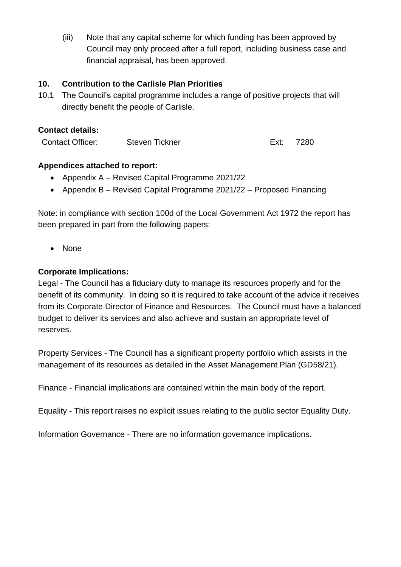(iii) Note that any capital scheme for which funding has been approved by Council may only proceed after a full report, including business case and financial appraisal, has been approved.

#### **10. Contribution to the Carlisle Plan Priorities**

10.1 The Council's capital programme includes a range of positive projects that will directly benefit the people of Carlisle.

#### **Contact details:**

Contact Officer: Steven Tickner **Ext: 7280** 

#### **Appendices attached to report:**

- Appendix A Revised Capital Programme 2021/22
- Appendix B Revised Capital Programme 2021/22 Proposed Financing

Note: in compliance with section 100d of the Local Government Act 1972 the report has been prepared in part from the following papers:

• None

#### **Corporate Implications:**

Legal - The Council has a fiduciary duty to manage its resources properly and for the benefit of its community. In doing so it is required to take account of the advice it receives from its Corporate Director of Finance and Resources. The Council must have a balanced budget to deliver its services and also achieve and sustain an appropriate level of reserves.

Property Services - The Council has a significant property portfolio which assists in the management of its resources as detailed in the Asset Management Plan (GD58/21).

Finance - Financial implications are contained within the main body of the report.

Equality - This report raises no explicit issues relating to the public sector Equality Duty.

Information Governance - There are no information governance implications.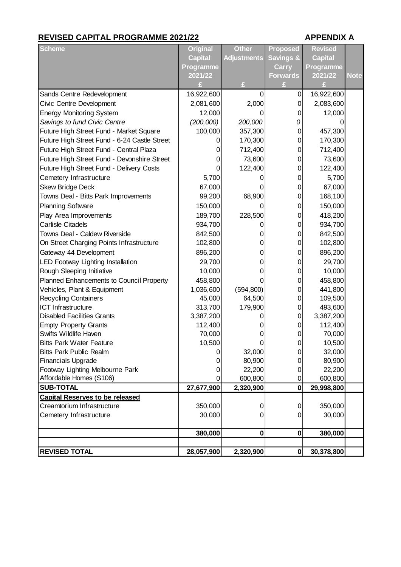#### **REVISED CAPITAL PROGRAMME 2021/22 APPENDIX A**

| <b>Scheme</b>                                | <b>Original</b> | <b>Other</b>       | <b>Proposed</b>      | <b>Revised</b> |             |
|----------------------------------------------|-----------------|--------------------|----------------------|----------------|-------------|
|                                              | <b>Capital</b>  | <b>Adjustments</b> | <b>Savings &amp;</b> | <b>Capital</b> |             |
|                                              | Programme       |                    | <b>Carry</b>         | Programme      |             |
|                                              | 2021/22         |                    | <b>Forwards</b>      | 2021/22        | <b>Note</b> |
|                                              |                 | F                  |                      |                |             |
| Sands Centre Redevelopment                   | 16,922,600      | 0                  | 0                    | 16,922,600     |             |
| Civic Centre Development                     | 2,081,600       | 2,000              | 0                    | 2,083,600      |             |
| <b>Energy Monitoring System</b>              | 12,000          |                    | 0                    | 12,000         |             |
| Savings to fund Civic Centre                 | (200,000)       | 200,000            | 0                    |                |             |
| Future High Street Fund - Market Square      | 100,000         | 357,300            | 0                    | 457,300        |             |
| Future High Street Fund - 6-24 Castle Street |                 | 170,300            | 0                    | 170,300        |             |
| Future High Street Fund - Central Plaza      | 0               | 712,400            | 0                    | 712,400        |             |
| Future High Street Fund - Devonshire Street  | 0               | 73,600             | 0                    | 73,600         |             |
| Future High Street Fund - Delivery Costs     |                 | 122,400            | 0                    | 122,400        |             |
| Cemetery Infrastructure                      | 5,700           |                    | 0                    | 5,700          |             |
| <b>Skew Bridge Deck</b>                      | 67,000          |                    | 0                    | 67,000         |             |
| Towns Deal - Bitts Park Improvements         | 99,200          | 68,900             | 0                    | 168,100        |             |
| <b>Planning Software</b>                     | 150,000         | O                  | 0                    | 150,000        |             |
| Play Area Improvements                       | 189,700         | 228,500            | 0                    | 418,200        |             |
| <b>Carlisle Citadels</b>                     | 934,700         |                    | 0                    | 934,700        |             |
| Towns Deal - Caldew Riverside                | 842,500         | 0                  | 0                    | 842,500        |             |
| On Street Charging Points Infrastructure     | 102,800         | 0                  | 0                    | 102,800        |             |
| Gateway 44 Development                       | 896,200         | 0                  | 0                    | 896,200        |             |
| LED Footway Lighting Installation            | 29,700          | 0                  | 0                    | 29,700         |             |
| Rough Sleeping Initiative                    | 10,000          |                    | 0                    | 10,000         |             |
| Planned Enhancements to Council Property     | 458,800         |                    | 0                    | 458,800        |             |
| Vehicles, Plant & Equipment                  | 1,036,600       | (594, 800)         | 0                    | 441,800        |             |
| <b>Recycling Containers</b>                  | 45,000          | 64,500             | 0                    | 109,500        |             |
| <b>ICT Infrastructure</b>                    | 313,700         | 179,900            | 0                    | 493,600        |             |
| <b>Disabled Facilities Grants</b>            | 3,387,200       |                    | 0                    | 3,387,200      |             |
| <b>Empty Property Grants</b>                 | 112,400         | O)                 | 0                    | 112,400        |             |
| Swifts Wildlife Haven                        | 70,000          | 0                  | 0                    | 70,000         |             |
| <b>Bitts Park Water Feature</b>              | 10,500          | 0                  | 0                    | 10,500         |             |
| <b>Bitts Park Public Realm</b>               | 0               | 32,000             | 0                    | 32,000         |             |
| <b>Financials Upgrade</b>                    | 0               | 80,900             | O)                   | 80,900         |             |
| Footway Lighting Melbourne Park              | 0               | 22,200             | 0                    | 22,200         |             |
| Affordable Homes (S106)                      | 0               | 600,800            | 0                    | 600,800        |             |
| <b>SUB-TOTAL</b>                             | 27,677,900      | 2,320,900          | $\mathbf 0$          | 29,998,800     |             |
| <b>Capital Reserves to be released</b>       |                 |                    |                      |                |             |
| Creamtorium Infrastructure                   | 350,000         | 0                  | 0                    | 350,000        |             |
| Cemetery Infrastructure                      | 30,000          | 0                  | 0                    | 30,000         |             |
|                                              | 380,000         | $\mathbf 0$        | 0                    | 380,000        |             |
|                                              |                 |                    |                      |                |             |
| <b>REVISED TOTAL</b>                         | 28,057,900      | 2,320,900          | 0                    | 30,378,800     |             |